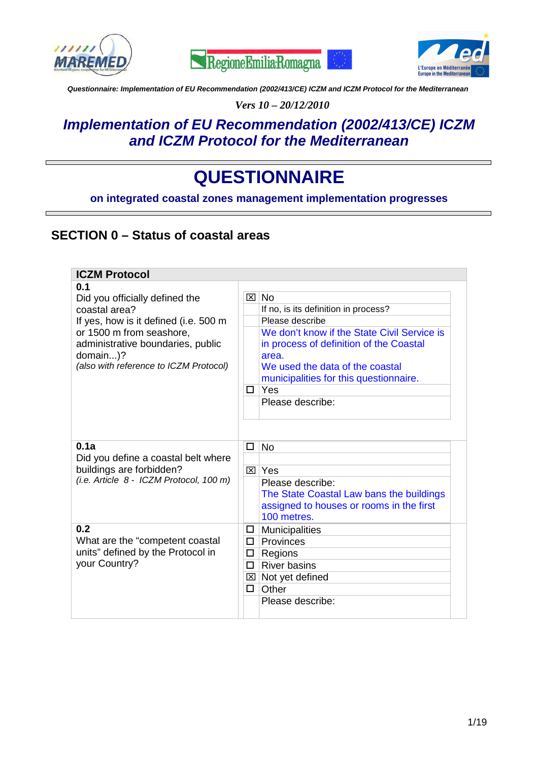





*Vers 10 – 20/12/2010* 

# **Implementation of EU Recommendation (2002/413/CE) ICZM and ICZM Protocol for the Mediterranean**

# **QUESTIONNAIRE**

### **on integrated coastal zones management implementation progresses**

### **SECTION 0 – Status of coastal areas**

| <b>ICZM Protocol</b>                               |          |                                                         |  |
|----------------------------------------------------|----------|---------------------------------------------------------|--|
| 0.1                                                |          |                                                         |  |
| Did you officially defined the                     | ⊠        | <b>No</b>                                               |  |
| coastal area?                                      |          | If no, is its definition in process?                    |  |
| If yes, how is it defined (i.e. 500 m              |          | Please describe                                         |  |
| or 1500 m from seashore,                           |          | We don't know if the State Civil Service is             |  |
| administrative boundaries, public                  |          | in process of definition of the Coastal                 |  |
| domain)?                                           |          | area.                                                   |  |
| (also with reference to ICZM Protocol)             |          | We used the data of the coastal                         |  |
|                                                    |          | municipalities for this questionnaire.                  |  |
|                                                    | п        | Yes                                                     |  |
|                                                    |          | Please describe:                                        |  |
|                                                    |          |                                                         |  |
|                                                    |          |                                                         |  |
| 0.1a                                               |          |                                                         |  |
| Did you define a coastal belt where                | □        | <b>No</b>                                               |  |
| buildings are forbidden?                           |          | ⊠∣Yes                                                   |  |
| (i.e. Article 8 - ICZM Protocol, 100 m)            |          | Please describe:                                        |  |
|                                                    |          |                                                         |  |
|                                                    |          | The State Coastal Law bans the buildings                |  |
|                                                    |          | assigned to houses or rooms in the first<br>100 metres. |  |
| 0.2                                                |          |                                                         |  |
|                                                    | □.<br>П. | Municipalities                                          |  |
| What are the "competent coastal                    |          | Provinces                                               |  |
| units" defined by the Protocol in<br>your Country? | □.       | Regions                                                 |  |
|                                                    | $\Box$   | <b>River basins</b>                                     |  |
|                                                    |          | ⊠ Not yet defined                                       |  |
|                                                    | О.       | Other                                                   |  |
|                                                    |          | Please describe:                                        |  |
|                                                    |          |                                                         |  |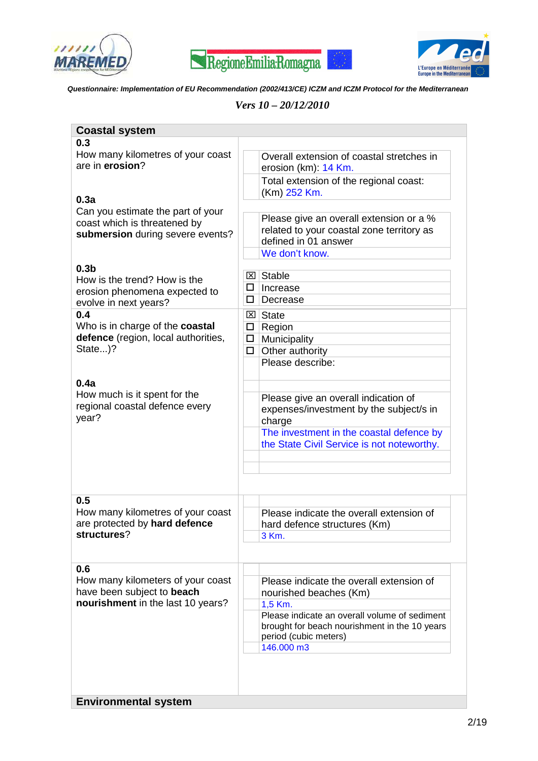





| <b>Coastal system</b>                                                                                 |                                                                                                                                |
|-------------------------------------------------------------------------------------------------------|--------------------------------------------------------------------------------------------------------------------------------|
| 0.3                                                                                                   |                                                                                                                                |
| How many kilometres of your coast<br>are in erosion?                                                  | Overall extension of coastal stretches in<br>erosion (km): 14 Km.                                                              |
|                                                                                                       | Total extension of the regional coast:<br>(Km) 252 Km.                                                                         |
| 0.3a                                                                                                  |                                                                                                                                |
| Can you estimate the part of your<br>coast which is threatened by<br>submersion during severe events? | Please give an overall extension or a %<br>related to your coastal zone territory as<br>defined in 01 answer<br>We don't know. |
| 0.3 <sub>b</sub>                                                                                      |                                                                                                                                |
| How is the trend? How is the                                                                          | Stable<br>$\vert x \vert$                                                                                                      |
| erosion phenomena expected to                                                                         | Increase<br>□                                                                                                                  |
| evolve in next years?                                                                                 | $\Box$<br>Decrease                                                                                                             |
| 0.4                                                                                                   | $\boxtimes$ State                                                                                                              |
| Who is in charge of the coastal                                                                       | $\Box$<br>Region                                                                                                               |
| defence (region, local authorities,                                                                   | Municipality<br>$\Box$                                                                                                         |
| State)?                                                                                               | Other authority<br>$\Box$                                                                                                      |
|                                                                                                       | Please describe:                                                                                                               |
|                                                                                                       |                                                                                                                                |
| 0.4a                                                                                                  |                                                                                                                                |
| How much is it spent for the                                                                          | Please give an overall indication of                                                                                           |
| regional coastal defence every                                                                        | expenses/investment by the subject/s in                                                                                        |
| year?                                                                                                 | charge                                                                                                                         |
|                                                                                                       | The investment in the coastal defence by                                                                                       |
|                                                                                                       | the State Civil Service is not noteworthy.                                                                                     |
|                                                                                                       |                                                                                                                                |
|                                                                                                       |                                                                                                                                |
|                                                                                                       |                                                                                                                                |
| 0.5                                                                                                   |                                                                                                                                |
| How many kilometres of your coast                                                                     | Please indicate the overall extension of                                                                                       |
| are protected by hard defence                                                                         | hard defence structures (Km)                                                                                                   |
| structures?                                                                                           | 3 Km.                                                                                                                          |
|                                                                                                       |                                                                                                                                |
|                                                                                                       |                                                                                                                                |
| 0.6                                                                                                   |                                                                                                                                |
| How many kilometers of your coast                                                                     | Please indicate the overall extension of                                                                                       |
| have been subject to beach                                                                            | nourished beaches (Km)<br>1,5 Km.                                                                                              |
| nourishment in the last 10 years?                                                                     | Please indicate an overall volume of sediment                                                                                  |
|                                                                                                       | brought for beach nourishment in the 10 years<br>period (cubic meters)                                                         |
|                                                                                                       | 146.000 m3                                                                                                                     |
|                                                                                                       |                                                                                                                                |
|                                                                                                       |                                                                                                                                |
|                                                                                                       |                                                                                                                                |
|                                                                                                       |                                                                                                                                |
| <b>Environmental system</b>                                                                           |                                                                                                                                |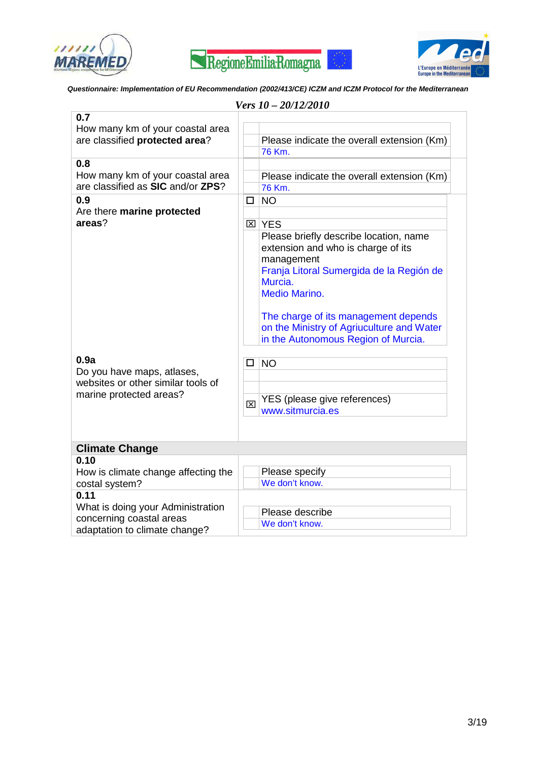





|                                                                                                                                                    |                                                | Vers $10 - 20/12/2010$                                                                                                                                                                                                                                                                                                                                    |
|----------------------------------------------------------------------------------------------------------------------------------------------------|------------------------------------------------|-----------------------------------------------------------------------------------------------------------------------------------------------------------------------------------------------------------------------------------------------------------------------------------------------------------------------------------------------------------|
| 0.7<br>How many km of your coastal area<br>are classified protected area?                                                                          |                                                | Please indicate the overall extension (Km)<br>76 Km.                                                                                                                                                                                                                                                                                                      |
| 0.8<br>How many km of your coastal area<br>are classified as SIC and/or ZPS?                                                                       |                                                | Please indicate the overall extension (Km)<br>76 Km.                                                                                                                                                                                                                                                                                                      |
| 0.9<br>Are there marine protected<br>areas?<br>0.9a<br>Do you have maps, atlases,<br>websites or other similar tools of<br>marine protected areas? | <b>NO</b><br>□<br>⊠ YES<br><b>NO</b><br>□<br>⊠ | Please briefly describe location, name<br>extension and who is charge of its<br>management<br>Franja Litoral Sumergida de la Región de<br>Murcia.<br><b>Medio Marino.</b><br>The charge of its management depends<br>on the Ministry of Agriuculture and Water<br>in the Autonomous Region of Murcia.<br>YES (please give references)<br>www.sitmurcia.es |
| <b>Climate Change</b>                                                                                                                              |                                                |                                                                                                                                                                                                                                                                                                                                                           |
| 0.10<br>How is climate change affecting the<br>costal system?                                                                                      |                                                | Please specify<br>We don't know.                                                                                                                                                                                                                                                                                                                          |
| 0.11<br>What is doing your Administration<br>concerning coastal areas<br>adaptation to climate change?                                             |                                                | Please describe<br>We don't know.                                                                                                                                                                                                                                                                                                                         |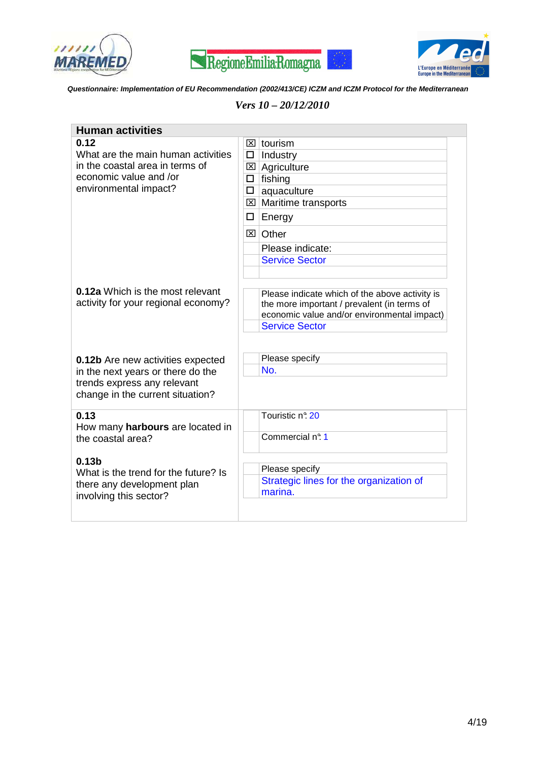





| <b>Human activities</b>                                                        |        |                                                                                                                                                                       |
|--------------------------------------------------------------------------------|--------|-----------------------------------------------------------------------------------------------------------------------------------------------------------------------|
| 0.12                                                                           |        | $\boxtimes$ tourism                                                                                                                                                   |
| What are the main human activities                                             | $\Box$ | Industry                                                                                                                                                              |
| in the coastal area in terms of                                                | 図      | Agriculture                                                                                                                                                           |
| economic value and /or                                                         | $\Box$ | fishing                                                                                                                                                               |
| environmental impact?                                                          | $\Box$ | aquaculture                                                                                                                                                           |
|                                                                                |        | $\boxtimes$ Maritime transports                                                                                                                                       |
|                                                                                | □.     | Energy                                                                                                                                                                |
|                                                                                |        | ⊠ Other                                                                                                                                                               |
|                                                                                |        | Please indicate:                                                                                                                                                      |
|                                                                                |        | <b>Service Sector</b>                                                                                                                                                 |
|                                                                                |        |                                                                                                                                                                       |
| <b>0.12a</b> Which is the most relevant<br>activity for your regional economy? |        | Please indicate which of the above activity is<br>the more important / prevalent (in terms of<br>economic value and/or environmental impact)<br><b>Service Sector</b> |
| <b>0.12b</b> Are new activities expected                                       |        | Please specify                                                                                                                                                        |
| in the next years or there do the                                              |        | No.                                                                                                                                                                   |
| trends express any relevant<br>change in the current situation?                |        |                                                                                                                                                                       |
| 0.13                                                                           |        | Touristic nº 20                                                                                                                                                       |
| How many harbours are located in<br>the coastal area?                          |        | Commercial nº. 1                                                                                                                                                      |
| 0.13 <sub>b</sub>                                                              |        | Please specify                                                                                                                                                        |
| What is the trend for the future? Is                                           |        | Strategic lines for the organization of                                                                                                                               |
| there any development plan                                                     |        | marina.                                                                                                                                                               |
| involving this sector?                                                         |        |                                                                                                                                                                       |
|                                                                                |        |                                                                                                                                                                       |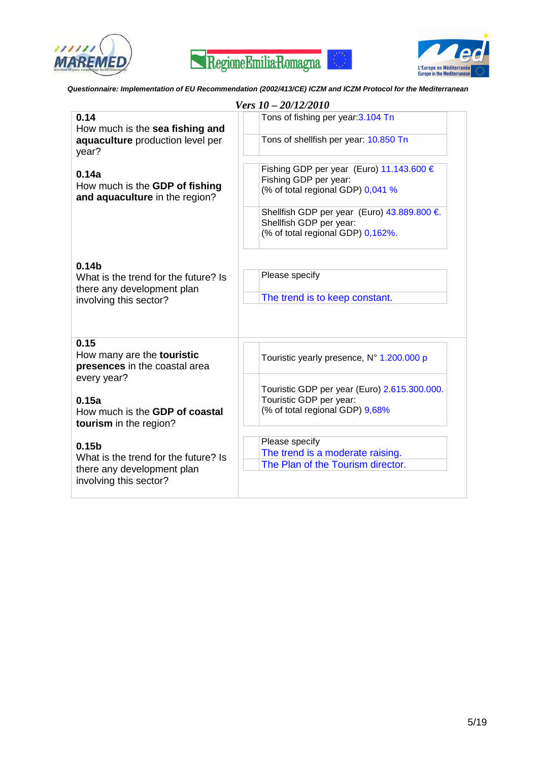





| Vers $10 - 20/12/2010$                                                             |                                                                                                             |  |
|------------------------------------------------------------------------------------|-------------------------------------------------------------------------------------------------------------|--|
| 0.14<br>How much is the sea fishing and                                            | Tons of fishing per year: 3.104 Tn                                                                          |  |
| aquaculture production level per<br>year?                                          | Tons of shellfish per year: 10.850 Tn                                                                       |  |
| 0.14a<br>How much is the GDP of fishing<br>and aquaculture in the region?          | Fishing GDP per year (Euro) 11.143.600 €<br>Fishing GDP per year:<br>(% of total regional GDP) 0,041 %      |  |
|                                                                                    | Shellfish GDP per year (Euro) 43.889.800 €.<br>Shellfish GDP per year:<br>(% of total regional GDP) 0,162%. |  |
| 0.14 <sub>b</sub><br>What is the trend for the future? Is                          | Please specify                                                                                              |  |
| there any development plan<br>involving this sector?                               | The trend is to keep constant.                                                                              |  |
|                                                                                    |                                                                                                             |  |
| 0.15<br>How many are the touristic<br>presences in the coastal area<br>every year? | Touristic yearly presence, N° 1.200.000 p                                                                   |  |
| 0.15a<br>How much is the <b>GDP of coastal</b><br>tourism in the region?           | Touristic GDP per year (Euro) 2.615.300.000.<br>Touristic GDP per year:<br>(% of total regional GDP) 9,68%  |  |
| 0.15 <sub>b</sub>                                                                  | Please specify<br>The trend is a moderate raising.                                                          |  |
| What is the trend for the future? Is<br>there any development plan                 | The Plan of the Tourism director.                                                                           |  |
| involving this sector?                                                             |                                                                                                             |  |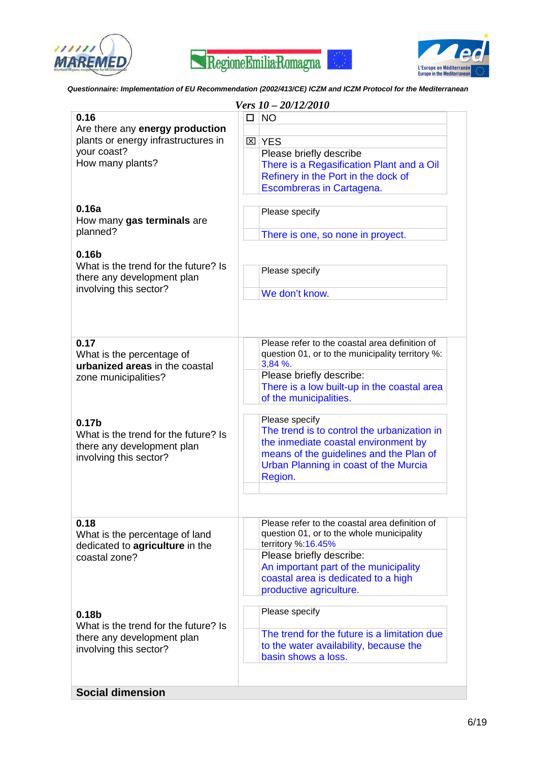





|                                      | $Vers 10 - 20/12/2010$  |                                                  |
|--------------------------------------|-------------------------|--------------------------------------------------|
| 0.16                                 | <b>NO</b><br>п          |                                                  |
| Are there any energy production      |                         |                                                  |
| plants or energy infrastructures in  | $\boxtimes$ YES         |                                                  |
| your coast?                          | Please briefly describe |                                                  |
| How many plants?                     |                         | There is a Regasification Plant and a Oil        |
|                                      |                         | Refinery in the Port in the dock of              |
|                                      |                         | Escombreras in Cartagena.                        |
|                                      |                         |                                                  |
| 0.16a                                | Please specify          |                                                  |
| How many gas terminals are           |                         |                                                  |
| planned?                             |                         |                                                  |
|                                      |                         | There is one, so none in proyect.                |
| 0.16 <sub>b</sub>                    |                         |                                                  |
| What is the trend for the future? Is |                         |                                                  |
| there any development plan           | Please specify          |                                                  |
| involving this sector?               |                         |                                                  |
|                                      | We don't know.          |                                                  |
|                                      |                         |                                                  |
|                                      |                         |                                                  |
|                                      |                         |                                                  |
| 0.17                                 |                         | Please refer to the coastal area definition of   |
| What is the percentage of            |                         | question 01, or to the municipality territory %: |
| urbanized areas in the coastal       | 3,84%                   |                                                  |
|                                      |                         | Please briefly describe:                         |
| zone municipalities?                 |                         | There is a low built-up in the coastal area      |
|                                      | of the municipalities.  |                                                  |
|                                      |                         |                                                  |
|                                      | Please specify          |                                                  |
| 0.17 <sub>b</sub>                    |                         | The trend is to control the urbanization in      |
| What is the trend for the future? Is |                         | the inmediate coastal environment by             |
| there any development plan           |                         | means of the guidelines and the Plan of          |
| involving this sector?               |                         | Urban Planning in coast of the Murcia            |
|                                      |                         |                                                  |
|                                      | Region.                 |                                                  |
|                                      |                         |                                                  |
|                                      |                         |                                                  |
|                                      |                         |                                                  |
| 0.18                                 |                         | Please refer to the coastal area definition of   |
| What is the percentage of land       |                         | question 01, or to the whole municipality        |
| dedicated to agriculture in the      | territory %: 16.45%     |                                                  |
| coastal zone?                        |                         | Please briefly describe:                         |
|                                      |                         | An important part of the municipality            |
|                                      |                         | coastal area is dedicated to a high              |
|                                      | productive agriculture. |                                                  |
|                                      |                         |                                                  |
| 0.18 <sub>b</sub>                    | Please specify          |                                                  |
| What is the trend for the future? Is |                         |                                                  |
| there any development plan           |                         | The trend for the future is a limitation due     |
| involving this sector?               |                         | to the water availability, because the           |
|                                      | basin shows a loss.     |                                                  |
|                                      |                         |                                                  |
|                                      |                         |                                                  |
| <b>Social dimension</b>              |                         |                                                  |
|                                      |                         |                                                  |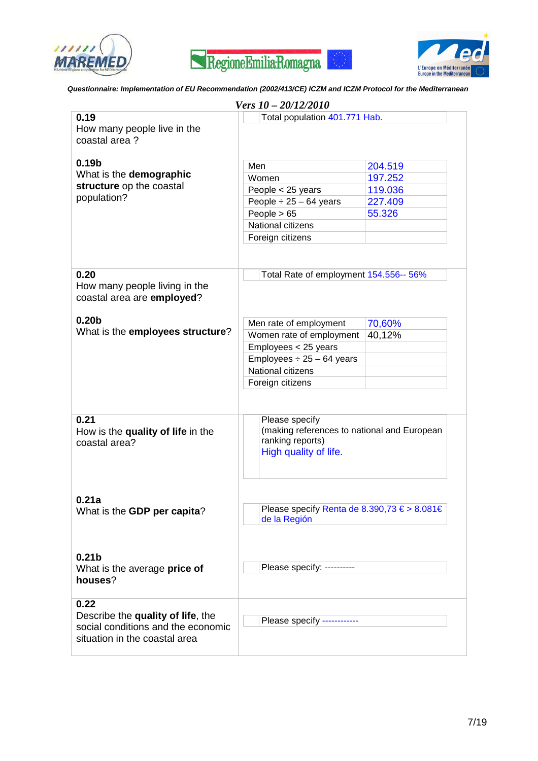





|                                                                                                                  | Vers 10 - 20/12/2010                                                                                       |         |
|------------------------------------------------------------------------------------------------------------------|------------------------------------------------------------------------------------------------------------|---------|
| 0.19                                                                                                             | Total population 401.771 Hab.                                                                              |         |
| How many people live in the<br>coastal area?                                                                     |                                                                                                            |         |
| 0.19 <sub>b</sub>                                                                                                | Men                                                                                                        | 204.519 |
| What is the demographic<br>structure op the coastal                                                              | Women                                                                                                      | 197.252 |
|                                                                                                                  | People < 25 years                                                                                          | 119.036 |
| population?                                                                                                      | People $\div$ 25 - 64 years                                                                                | 227.409 |
|                                                                                                                  | People $> 65$                                                                                              | 55.326  |
|                                                                                                                  | National citizens                                                                                          |         |
|                                                                                                                  | Foreign citizens                                                                                           |         |
|                                                                                                                  |                                                                                                            |         |
| 0.20<br>How many people living in the<br>coastal area are employed?                                              | Total Rate of employment 154.556-- 56%                                                                     |         |
| 0.20 <sub>b</sub>                                                                                                |                                                                                                            |         |
| What is the employees structure?                                                                                 | Men rate of employment                                                                                     | 70,60%  |
|                                                                                                                  | Women rate of employment                                                                                   | 40,12%  |
|                                                                                                                  | Employees < 25 years                                                                                       |         |
|                                                                                                                  | Employees $\div$ 25 - 64 years                                                                             |         |
|                                                                                                                  | National citizens                                                                                          |         |
|                                                                                                                  | Foreign citizens                                                                                           |         |
| 0.21<br>How is the quality of life in the<br>coastal area?                                                       | Please specify<br>(making references to national and European<br>ranking reports)<br>High quality of life. |         |
| 0.21a<br>What is the GDP per capita?                                                                             | Please specify Renta de 8.390,73 € > 8.081€<br>de la Región                                                |         |
| 0.21 <sub>b</sub><br>What is the average price of<br>houses?                                                     | Please specify: ----------                                                                                 |         |
| 0.22<br>Describe the quality of life, the<br>social conditions and the economic<br>situation in the coastal area | Please specify ------------                                                                                |         |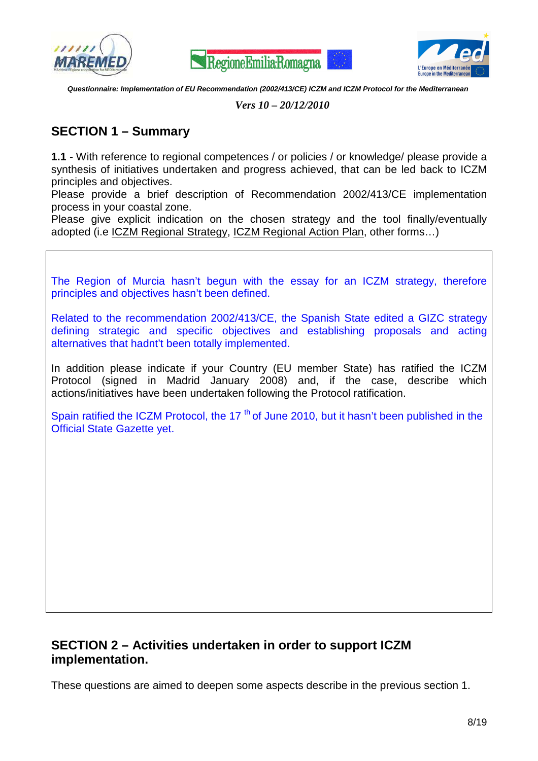





*Vers 10 – 20/12/2010* 

### **SECTION 1 – Summary**

**1.1** - With reference to regional competences / or policies / or knowledge/ please provide a synthesis of initiatives undertaken and progress achieved, that can be led back to ICZM principles and objectives.

Please provide a brief description of Recommendation 2002/413/CE implementation process in your coastal zone.

Please give explicit indication on the chosen strategy and the tool finally/eventually adopted (i.e ICZM Regional Strategy, ICZM Regional Action Plan, other forms…)

The Region of Murcia hasn't begun with the essay for an ICZM strategy, therefore principles and objectives hasn't been defined.

Related to the recommendation 2002/413/CE, the Spanish State edited a GIZC strategy defining strategic and specific objectives and establishing proposals and acting alternatives that hadnt't been totally implemented.

In addition please indicate if your Country (EU member State) has ratified the ICZM Protocol (signed in Madrid January 2008) and, if the case, describe which actions/initiatives have been undertaken following the Protocol ratification.

Spain ratified the ICZM Protocol, the 17<sup>th</sup> of June 2010, but it hasn't been published in the Official State Gazette yet.

### **SECTION 2 – Activities undertaken in order to support ICZM implementation.**

These questions are aimed to deepen some aspects describe in the previous section 1.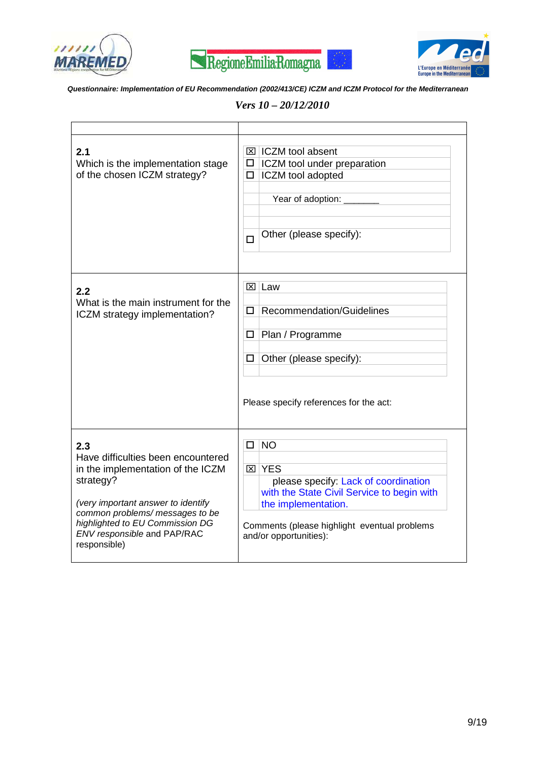





| 2.1<br>Which is the implementation stage<br>of the chosen ICZM strategy?                                                                                                                                                                               | $\boxtimes$ ICZM tool absent<br><b>ICZM</b> tool under preparation<br>□<br>ICZM tool adopted<br>□<br>Year of adoption:                                                                                                   |
|--------------------------------------------------------------------------------------------------------------------------------------------------------------------------------------------------------------------------------------------------------|--------------------------------------------------------------------------------------------------------------------------------------------------------------------------------------------------------------------------|
|                                                                                                                                                                                                                                                        | Other (please specify):<br>$\Box$                                                                                                                                                                                        |
| 2.2<br>What is the main instrument for the<br>ICZM strategy implementation?                                                                                                                                                                            | Law<br>⊠∣<br>Recommendation/Guidelines<br>□<br>Plan / Programme<br>□<br>Other (please specify):<br>□<br>Please specify references for the act:                                                                           |
| 2.3<br>Have difficulties been encountered<br>in the implementation of the ICZM<br>strategy?<br>(very important answer to identify<br>common problems/ messages to be<br>highlighted to EU Commission DG<br>ENV responsible and PAP/RAC<br>responsible) | <b>NO</b><br>□<br>$\boxtimes$ YES<br>please specify: Lack of coordination<br>with the State Civil Service to begin with<br>the implementation.<br>Comments (please highlight eventual problems<br>and/or opportunities): |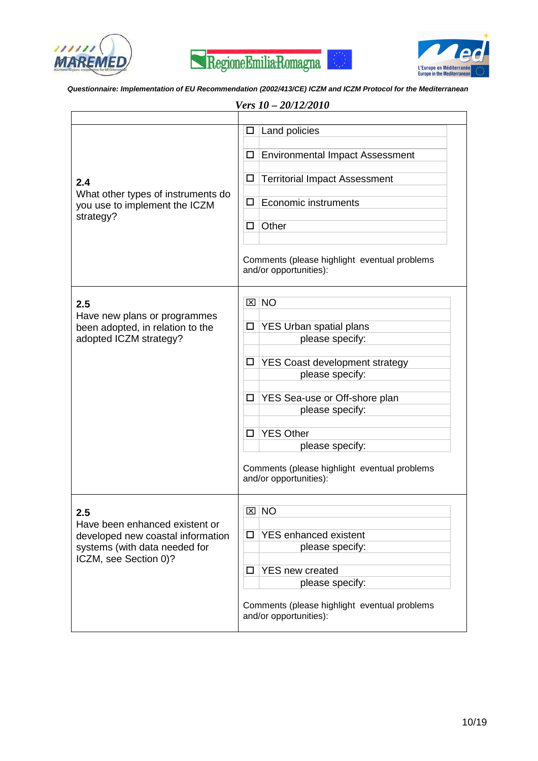





| Vers 10 - 20/12/2010                                                                                                                 |                                                                        |  |
|--------------------------------------------------------------------------------------------------------------------------------------|------------------------------------------------------------------------|--|
|                                                                                                                                      |                                                                        |  |
| 2.4<br>What other types of instruments do<br>you use to implement the ICZM                                                           | Land policies<br>□                                                     |  |
|                                                                                                                                      | <b>Environmental Impact Assessment</b><br>□                            |  |
|                                                                                                                                      | <b>Territorial Impact Assessment</b><br>□                              |  |
|                                                                                                                                      | <b>Economic instruments</b><br>$\Box$                                  |  |
| strategy?                                                                                                                            | Other                                                                  |  |
|                                                                                                                                      | Comments (please highlight eventual problems<br>and/or opportunities): |  |
| 2.5<br>Have new plans or programmes<br>been adopted, in relation to the<br>adopted ICZM strategy?                                    | $\boxtimes$ NO                                                         |  |
|                                                                                                                                      | YES Urban spatial plans<br>□<br>please specify:                        |  |
|                                                                                                                                      | <b>YES Coast development strategy</b><br>□<br>please specify:          |  |
|                                                                                                                                      | YES Sea-use or Off-shore plan<br>$\Box$<br>please specify:             |  |
|                                                                                                                                      | <b>YES Other</b><br>please specify:                                    |  |
|                                                                                                                                      | Comments (please highlight eventual problems<br>and/or opportunities): |  |
| 2.5<br>Have been enhanced existent or<br>developed new coastal information<br>systems (with data needed for<br>ICZM, see Section 0)? | $\boxtimes$ NO<br><b>YES</b> enhanced existent<br>□<br>please specify: |  |
|                                                                                                                                      | <b>YES new created</b><br>◻<br>please specify:                         |  |
|                                                                                                                                      | Comments (please highlight eventual problems<br>and/or opportunities): |  |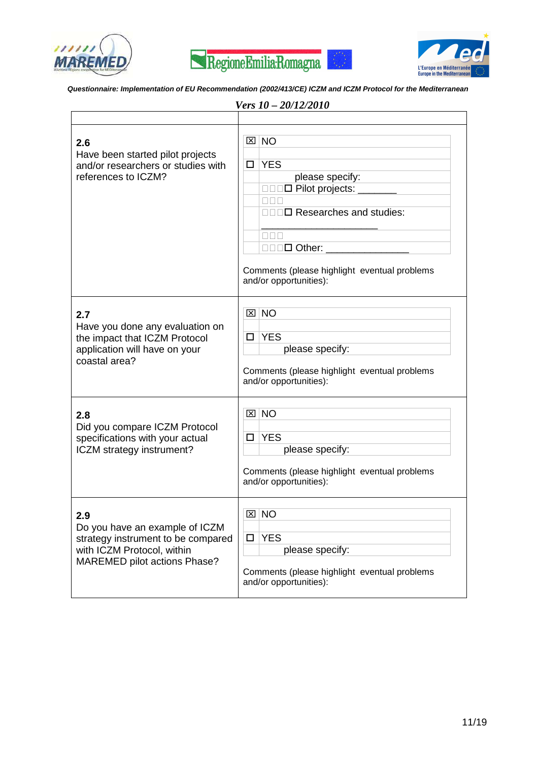





| Vers 10 - 20/12/2010                                                                                                                      |                                                                                                                                                                                                                  |  |
|-------------------------------------------------------------------------------------------------------------------------------------------|------------------------------------------------------------------------------------------------------------------------------------------------------------------------------------------------------------------|--|
| 2.6<br>Have been started pilot projects<br>and/or researchers or studies with<br>references to ICZM?                                      | $\boxtimes$ NO<br><b>YES</b><br>$\Box$<br>please specify:<br>$\Box$ Pilot projects:<br>$\Box$ Researches and studies:<br>$\Box$ Other:<br>Comments (please highlight eventual problems<br>and/or opportunities): |  |
| 2.7<br>Have you done any evaluation on<br>the impact that ICZM Protocol<br>application will have on your<br>coastal area?                 | $\boxtimes$ NO<br>$\Box$ YES<br>please specify:<br>Comments (please highlight eventual problems<br>and/or opportunities):                                                                                        |  |
| 2.8<br>Did you compare ICZM Protocol<br>specifications with your actual<br>ICZM strategy instrument?                                      | $\boxtimes$ NO<br>$\square$ YES<br>please specify:<br>Comments (please highlight eventual problems<br>and/or opportunities):                                                                                     |  |
| 2.9<br>Do you have an example of ICZM<br>strategy instrument to be compared<br>with ICZM Protocol, within<br>MAREMED pilot actions Phase? | $\boxtimes$ NO<br><b>YES</b><br>□<br>please specify:<br>Comments (please highlight eventual problems<br>and/or opportunities):                                                                                   |  |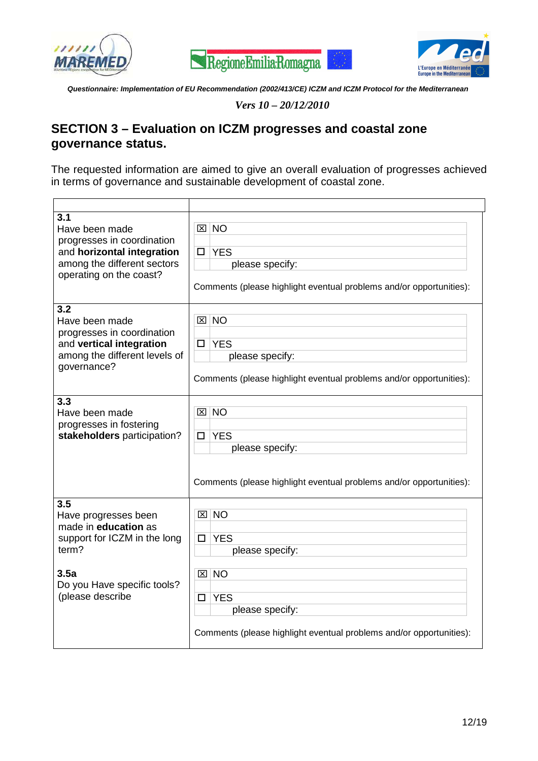





*Vers 10 – 20/12/2010* 

### **SECTION 3 – Evaluation on ICZM progresses and coastal zone governance status.**

The requested information are aimed to give an overall evaluation of progresses achieved in terms of governance and sustainable development of coastal zone.

| 3.1<br>Have been made<br>progresses in coordination<br>and horizontal integration<br>among the different sectors<br>operating on the coast?                    | $\boxtimes$ NO<br>$\square$ YES<br>please specify:<br>Comments (please highlight eventual problems and/or opportunities):        |
|----------------------------------------------------------------------------------------------------------------------------------------------------------------|----------------------------------------------------------------------------------------------------------------------------------|
| 3.2<br>Have been made<br>progresses in coordination<br>and vertical integration<br>among the different levels of<br>governance?                                | $\boxtimes$ NO<br><b>YES</b><br>$\Box$<br>please specify:<br>Comments (please highlight eventual problems and/or opportunities): |
| 3.3<br>Have been made<br>progresses in fostering<br>stakeholders participation?                                                                                | $\boxtimes$ NO<br><b>YES</b><br>$\Box$<br>please specify:<br>Comments (please highlight eventual problems and/or opportunities): |
| 3.5<br>Have progresses been<br>made in <b>education</b> as<br>support for ICZM in the long<br>term?<br>3.5a<br>Do you Have specific tools?<br>(please describe | <b>NO</b><br>$\mathbf{\overline{X}}$<br><b>YES</b><br>$\Box$<br>please specify:<br><b>NO</b><br>⊠<br><b>YES</b><br>$\Box$        |
|                                                                                                                                                                | please specify:<br>Comments (please highlight eventual problems and/or opportunities):                                           |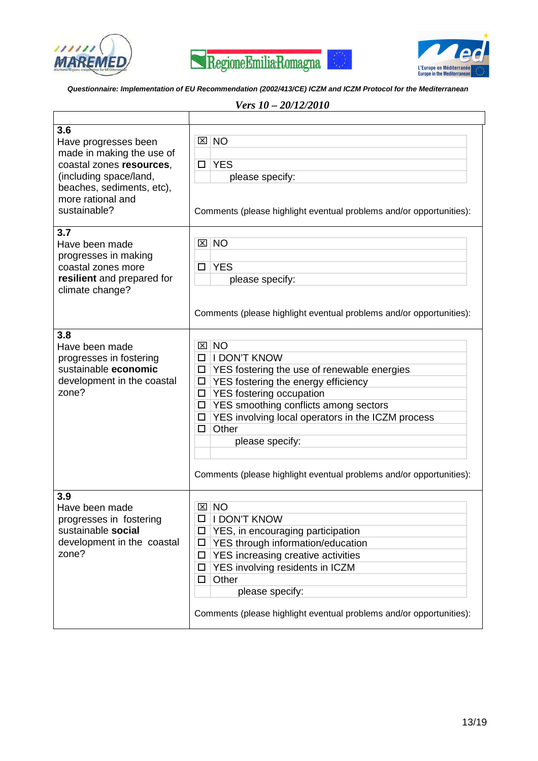





| $Vers 10 - 20/12/2010$                                                                                                                                                           |                                                                                                                                                                                                                                                                                                                                                                                         |  |
|----------------------------------------------------------------------------------------------------------------------------------------------------------------------------------|-----------------------------------------------------------------------------------------------------------------------------------------------------------------------------------------------------------------------------------------------------------------------------------------------------------------------------------------------------------------------------------------|--|
|                                                                                                                                                                                  |                                                                                                                                                                                                                                                                                                                                                                                         |  |
| 3.6<br>Have progresses been<br>made in making the use of<br>coastal zones resources,<br>(including space/land,<br>beaches, sediments, etc),<br>more rational and<br>sustainable? | $\boxtimes$ NO<br>$\square$ YES<br>please specify:<br>Comments (please highlight eventual problems and/or opportunities):                                                                                                                                                                                                                                                               |  |
| 3.7<br>Have been made<br>progresses in making<br>coastal zones more<br>resilient and prepared for<br>climate change?                                                             | <b>NO</b><br>⊠∣<br><b>YES</b><br>$\Box$<br>please specify:                                                                                                                                                                                                                                                                                                                              |  |
|                                                                                                                                                                                  | Comments (please highlight eventual problems and/or opportunities):                                                                                                                                                                                                                                                                                                                     |  |
| 3.8<br>Have been made<br>progresses in fostering<br>sustainable economic<br>development in the coastal<br>zone?                                                                  | $\boxtimes$ NO<br><b>I DON'T KNOW</b><br>$\Box$<br>YES fostering the use of renewable energies<br>□<br>YES fostering the energy efficiency<br>□<br>YES fostering occupation<br>YES smoothing conflicts among sectors<br>YES involving local operators in the ICZM process<br>□<br>Other<br>0.<br>please specify:<br>Comments (please highlight eventual problems and/or opportunities): |  |
| 3.9<br>Have been made<br>progresses in fostering<br>sustainable social<br>development in the coastal<br>zone?                                                                    | <b>NO</b><br>⊠∣<br><b>I DON'T KNOW</b><br>□<br>□<br>YES, in encouraging participation<br>YES through information/education<br>□<br>YES increasing creative activities<br>□<br>YES involving residents in ICZM<br>□<br>Other<br>□<br>please specify:<br>Comments (please highlight eventual problems and/or opportunities):                                                              |  |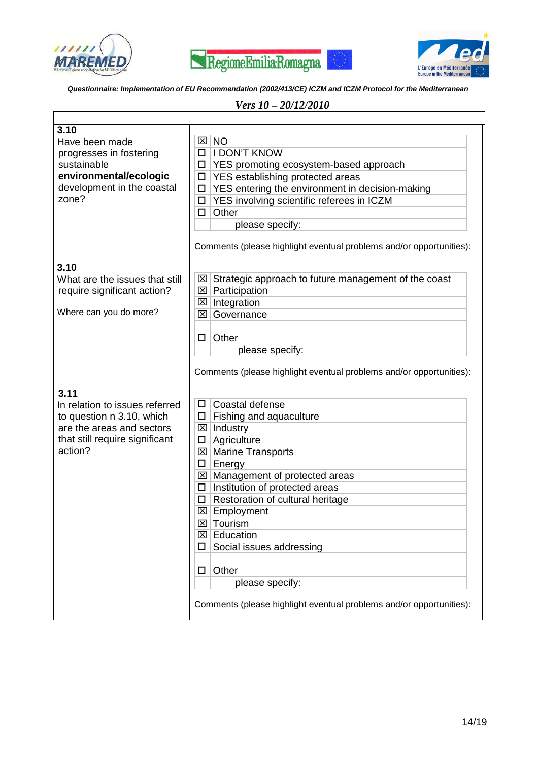





**Questionnaire: Implementation of EU Recommendation (2002/413/CE) ICZM and ICZM Protocol for the Mediterranean** 

| 3.10<br>Have been made<br>progresses in fostering<br>sustainable<br>environmental/ecologic<br>development in the coastal<br>zone?             | $\boxtimes$ NO<br><b>I DON'T KNOW</b><br>□<br><b>YES</b> promoting ecosystem-based approach<br>□<br><b>YES</b> establishing protected areas<br>$\Box$<br>YES entering the environment in decision-making<br>$\Box$<br>YES involving scientific referees in ICZM<br>$\Box$<br>Other<br>□<br>please specify:<br>Comments (please highlight eventual problems and/or opportunities):                                                                                                                    |
|-----------------------------------------------------------------------------------------------------------------------------------------------|------------------------------------------------------------------------------------------------------------------------------------------------------------------------------------------------------------------------------------------------------------------------------------------------------------------------------------------------------------------------------------------------------------------------------------------------------------------------------------------------------|
| 3.10<br>What are the issues that still<br>require significant action?<br>Where can you do more?                                               | Strategic approach to future management of the coast<br>$\mathbf{X}$<br>$\boxtimes$ Participation<br>$\boxtimes$ Integration<br>Governance<br>⊠<br>Other<br>□<br>please specify:<br>Comments (please highlight eventual problems and/or opportunities):                                                                                                                                                                                                                                              |
| 3.11<br>In relation to issues referred<br>to question n 3.10, which<br>are the areas and sectors<br>that still require significant<br>action? | Coastal defense<br>$\Box$<br>Fishing and aquaculture<br>$\Box$<br>$\boxtimes$ Industry<br>Agriculture<br>$\Box$<br><b>⊠ Marine Transports</b><br>$\Box$ Energy<br>$\boxtimes$ Management of protected areas<br>$\Box$ Institution of protected areas<br>Restoration of cultural heritage<br>$\Box$<br>⊠ Employment<br><b>⊠</b> Tourism<br>$\boxtimes$ Education<br>Social issues addressing<br>Other<br>□.<br>please specify:<br>Comments (please highlight eventual problems and/or opportunities): |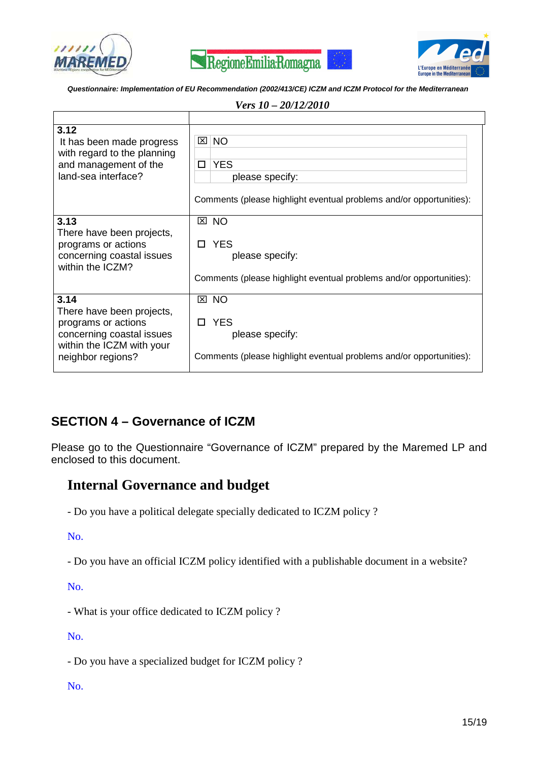





| $Vers 10 - 20/12/2010$                                                                                                                  |                                                                                                                                                   |  |
|-----------------------------------------------------------------------------------------------------------------------------------------|---------------------------------------------------------------------------------------------------------------------------------------------------|--|
|                                                                                                                                         |                                                                                                                                                   |  |
| 3.12<br>It has been made progress<br>with regard to the planning<br>and management of the<br>land-sea interface?                        | <b>NO</b><br>$\mathbf{\overline{X}}$<br><b>YES</b><br>□<br>please specify:<br>Comments (please highlight eventual problems and/or opportunities): |  |
| 3.13<br>There have been projects,<br>programs or actions<br>concerning coastal issues<br>within the ICZM?                               | $\boxtimes$ NO<br><b>YES</b><br>П.<br>please specify:<br>Comments (please highlight eventual problems and/or opportunities):                      |  |
| 3.14<br>There have been projects,<br>programs or actions<br>concerning coastal issues<br>within the ICZM with your<br>neighbor regions? | $\boxtimes$ NO<br>□ YES<br>please specify:<br>Comments (please highlight eventual problems and/or opportunities):                                 |  |

### **SECTION 4 – Governance of ICZM**

Please go to the Questionnaire "Governance of ICZM" prepared by the Maremed LP and enclosed to this document.

# **Internal Governance and budget**

- Do you have a political delegate specially dedicated to ICZM policy ?

No.

- Do you have an official ICZM policy identified with a publishable document in a website?

No.

- What is your office dedicated to ICZM policy ?

No.

- Do you have a specialized budget for ICZM policy ?

No.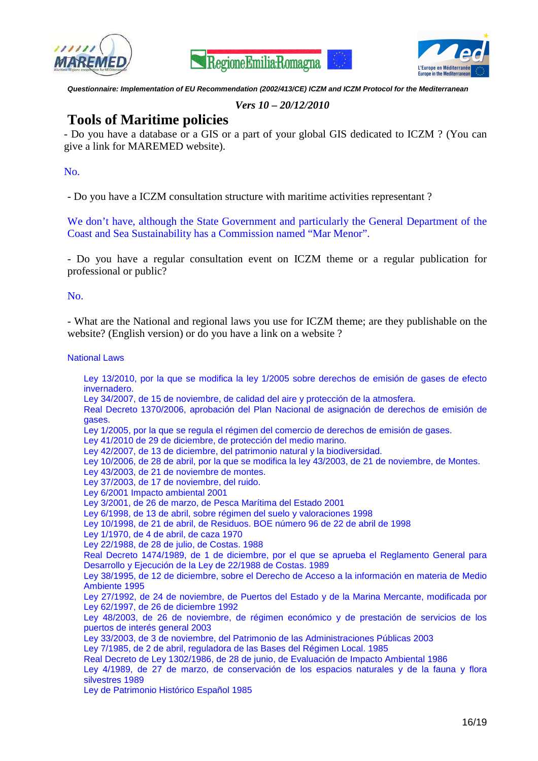





#### *Vers 10 – 20/12/2010*

### **Tools of Maritime policies**

- Do you have a database or a GIS or a part of your global GIS dedicated to ICZM ? (You can give a link for MAREMED website).

#### No.

- Do you have a ICZM consultation structure with maritime activities representant ?

We don't have, although the State Government and particularly the General Department of the Coast and Sea Sustainability has a Commission named "Mar Menor".

- Do you have a regular consultation event on ICZM theme or a regular publication for professional or public?

No.

- What are the National and regional laws you use for ICZM theme; are they publishable on the website? (English version) or do you have a link on a website ?

#### National Laws

Ley 13/2010, por la que se modifica la ley 1/2005 sobre derechos de emisión de gases de efecto invernadero. Ley 34/2007, de 15 de noviembre, de calidad del aire y protección de la atmosfera. Real Decreto 1370/2006, aprobación del Plan Nacional de asignación de derechos de emisión de gases. Ley 1/2005, por la que se regula el régimen del comercio de derechos de emisión de gases. Ley 41/2010 de 29 de diciembre, de protección del medio marino. Ley 42/2007, de 13 de diciembre, del patrimonio natural y la biodiversidad. Ley 10/2006, de 28 de abril, por la que se modifica la ley 43/2003, de 21 de noviembre, de Montes. Ley 43/2003, de 21 de noviembre de montes. Ley 37/2003, de 17 de noviembre, del ruido. Ley 6/2001 Impacto ambiental 2001 Ley 3/2001, de 26 de marzo, de Pesca Marítima del Estado 2001 Ley 6/1998, de 13 de abril, sobre régimen del suelo y valoraciones 1998 Ley 10/1998, de 21 de abril, de Residuos. BOE número 96 de 22 de abril de 1998 Ley 1/1970, de 4 de abril, de caza 1970 Ley 22/1988, de 28 de julio, de Costas. 1988 Real Decreto 1474/1989, de 1 de diciembre, por el que se aprueba el Reglamento General para Desarrollo y Ejecución de la Ley de 22/1988 de Costas. 1989 Ley 38/1995, de 12 de diciembre, sobre el Derecho de Acceso a la información en materia de Medio Ambiente 1995 Ley 27/1992, de 24 de noviembre, de Puertos del Estado y de la Marina Mercante, modificada por Ley 62/1997, de 26 de diciembre 1992 Ley 48/2003, de 26 de noviembre, de régimen económico y de prestación de servicios de los puertos de interés general 2003 Ley 33/2003, de 3 de noviembre, del Patrimonio de las Administraciones Públicas 2003 Ley 7/1985, de 2 de abril, reguladora de las Bases del Régimen Local. 1985 Real Decreto de Ley 1302/1986, de 28 de junio, de Evaluación de Impacto Ambiental 1986 Ley 4/1989, de 27 de marzo, de conservación de los espacios naturales y de la fauna y flora silvestres 1989

Ley de Patrimonio Histórico Español 1985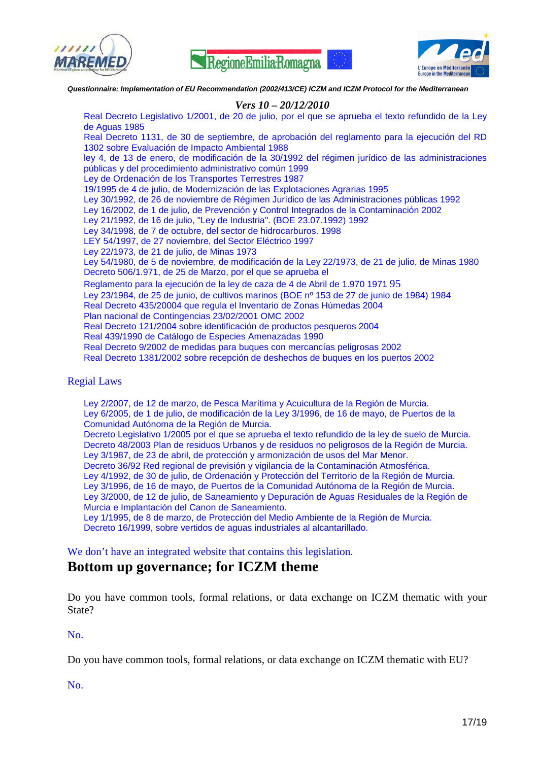





#### *Vers 10 – 20/12/2010*

Real Decreto Legislativo 1/2001, de 20 de julio, por el que se aprueba el texto refundido de la Ley de Aguas 1985 Real Decreto 1131, de 30 de septiembre, de aprobación del reglamento para la ejecución del RD 1302 sobre Evaluación de Impacto Ambiental 1988 ley 4, de 13 de enero, de modificación de la 30/1992 del régimen jurídico de las administraciones públicas y del procedimiento administrativo común 1999 Ley de Ordenación de los Transportes Terrestres 1987 19/1995 de 4 de julio, de Modernización de las Explotaciones Agrarias 1995 Ley 30/1992, de 26 de noviembre de Régimen Jurídico de las Administraciones públicas 1992 Ley 16/2002, de 1 de julio, de Prevención y Control Integrados de la Contaminación 2002 Ley 21/1992, de 16 de julio, "Ley de Industria". (BOE 23.07.1992) 1992 Ley 34/1998, de 7 de octubre, del sector de hidrocarburos. 1998 LEY 54/1997, de 27 noviembre, del Sector Eléctrico 1997 Ley 22/1973, de 21 de julio, de Minas 1973 Ley 54/1980, de 5 de noviembre, de modificación de la Ley 22/1973, de 21 de julio, de Minas 1980 Decreto 506/1.971, de 25 de Marzo, por el que se aprueba el Reglamento para la ejecución de la ley de caza de 4 de Abril de 1.970 1971 95 Ley 23/1984, de 25 de junio, de cultivos marinos (BOE nº 153 de 27 de junio de 1984) 1984 Real Decreto 435/20004 que regula el Inventario de Zonas Húmedas 2004 Plan nacional de Contingencias 23/02/2001 OMC 2002 Real Decreto 121/2004 sobre identificación de productos pesqueros 2004 Real 439/1990 de Catálogo de Especies Amenazadas 1990 Real Decreto 9/2002 de medidas para buques con mercancías peligrosas 2002 Real Decreto 1381/2002 sobre recepción de deshechos de buques en los puertos 2002

#### Regial Laws

Ley 2/2007, de 12 de marzo, de Pesca Marítima y Acuicultura de la Región de Murcia. Ley 6/2005, de 1 de julio, de modificación de la Ley 3/1996, de 16 de mayo, de Puertos de la Comunidad Autónoma de la Región de Murcia. Decreto Legislativo 1/2005 por el que se aprueba el texto refundido de la ley de suelo de Murcia. Decreto 48/2003 Plan de residuos Urbanos y de residuos no peligrosos de la Región de Murcia. Ley 3/1987, de 23 de abril, de protección y armonización de usos del Mar Menor. Decreto 36/92 Red regional de previsión y vigilancia de la Contaminación Atmosférica. Ley 4/1992, de 30 de julio, de Ordenación y Protección del Territorio de la Región de Murcia. Ley 3/1996, de 16 de mayo, de Puertos de la Comunidad Autónoma de la Región de Murcia.

Ley 3/2000, de 12 de julio, de Saneamiento y Depuración de Aguas Residuales de la Región de Murcia e Implantación del Canon de Saneamiento.

Ley 1/1995, de 8 de marzo, de Protección del Medio Ambiente de la Región de Murcia. Decreto 16/1999, sobre vertidos de aguas industriales al alcantarillado.

We don't have an integrated website that contains this legislation.

#### **Bottom up governance; for ICZM theme**

Do you have common tools, formal relations, or data exchange on ICZM thematic with your State?

No.

Do you have common tools, formal relations, or data exchange on ICZM thematic with EU?

No.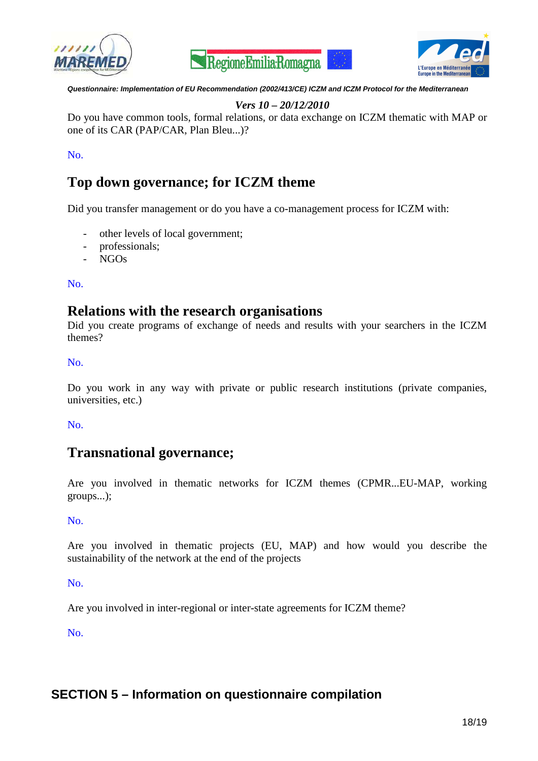





### *Vers 10 – 20/12/2010*

Do you have common tools, formal relations, or data exchange on ICZM thematic with MAP or one of its CAR (PAP/CAR, Plan Bleu...)?

#### No.

# **Top down governance; for ICZM theme**

Did you transfer management or do you have a co-management process for ICZM with:

- other levels of local government;
- professionals;
- NGOs

No.

### **Relations with the research organisations**

Did you create programs of exchange of needs and results with your searchers in the ICZM themes?

No.

Do you work in any way with private or public research institutions (private companies, universities, etc.)

No.

### **Transnational governance;**

Are you involved in thematic networks for ICZM themes (CPMR...EU-MAP, working groups...);

No.

Are you involved in thematic projects (EU, MAP) and how would you describe the sustainability of the network at the end of the projects

No.

Are you involved in inter-regional or inter-state agreements for ICZM theme?

No.

### **SECTION 5 – Information on questionnaire compilation**